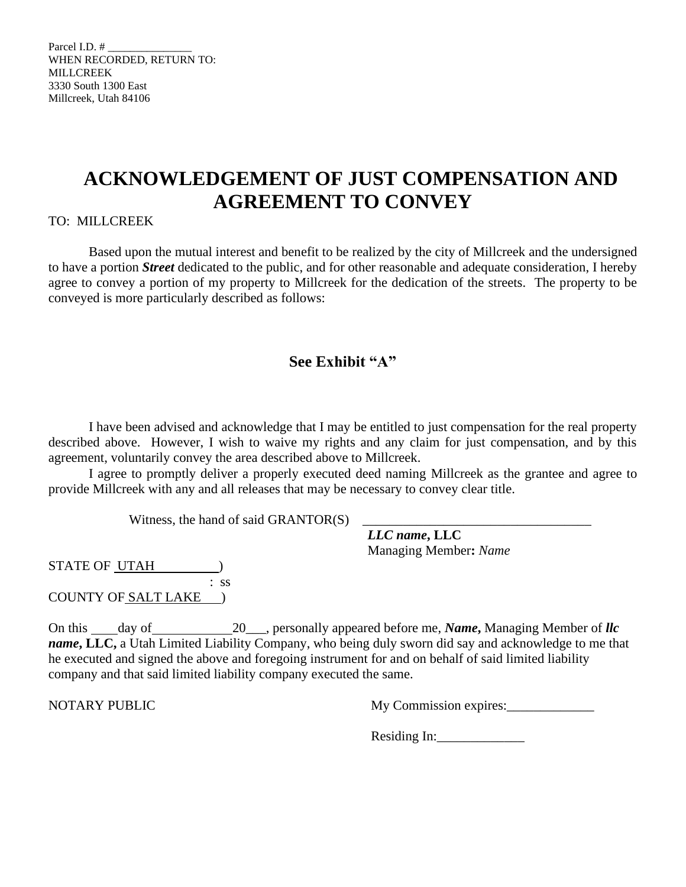Parcel I.D. # WHEN RECORDED, RETURN TO: MILLCREEK 3330 South 1300 East Millcreek, Utah 84106

# **ACKNOWLEDGEMENT OF JUST COMPENSATION AND AGREEMENT TO CONVEY**

#### TO: MILLCREEK

Based upon the mutual interest and benefit to be realized by the city of Millcreek and the undersigned to have a portion *Street* dedicated to the public, and for other reasonable and adequate consideration, I hereby agree to convey a portion of my property to Millcreek for the dedication of the streets. The property to be conveyed is more particularly described as follows:

### **See Exhibit "A"**

I have been advised and acknowledge that I may be entitled to just compensation for the real property described above. However, I wish to waive my rights and any claim for just compensation, and by this agreement, voluntarily convey the area described above to Millcreek.

I agree to promptly deliver a properly executed deed naming Millcreek as the grantee and agree to provide Millcreek with any and all releases that may be necessary to convey clear title.

Witness, the hand of said  $GRANTOR(S)$ 

*LLC name***, LLC** Managing Member**:** *Name*

STATE OF <u>UTAH</u> (1) : ss COUNTY OF SALT LAKE )

On this day of 20\_\_\_, personally appeared before me, *Name***,** Managing Member of *llc name***, LLC,** a Utah Limited Liability Company, who being duly sworn did say and acknowledge to me that he executed and signed the above and foregoing instrument for and on behalf of said limited liability company and that said limited liability company executed the same.

NOTARY PUBLIC My Commission expires:

Residing In:\_\_\_\_\_\_\_\_\_\_\_\_\_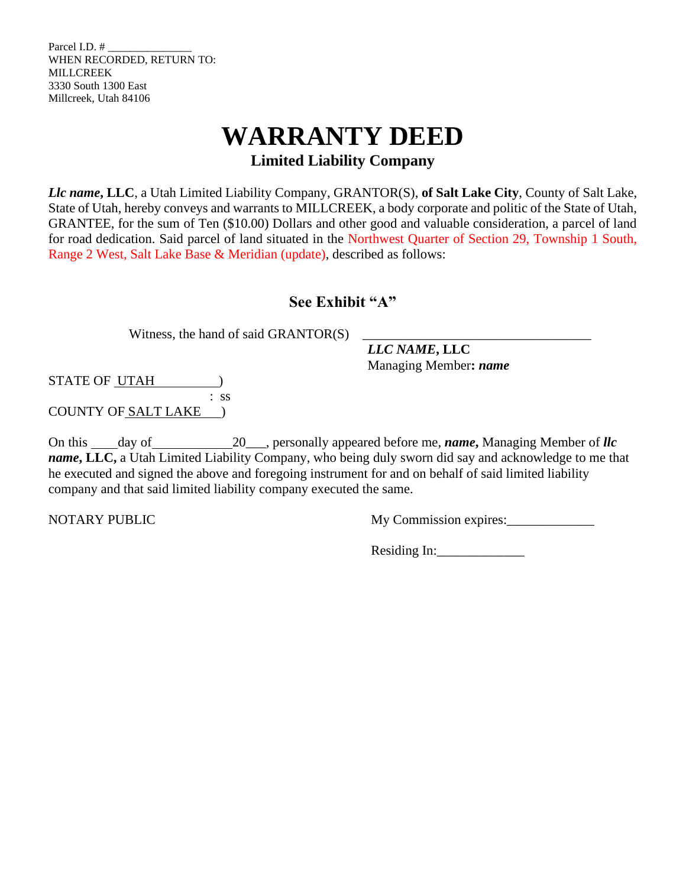Parcel I.D. # WHEN RECORDED, RETURN TO: MILLCREEK 3330 South 1300 East Millcreek, Utah 84106

# **WARRANTY DEED Limited Liability Company**

*Llc name***, LLC**, a Utah Limited Liability Company, GRANTOR(S), **of Salt Lake City**, County of Salt Lake, State of Utah, hereby conveys and warrants to MILLCREEK, a body corporate and politic of the State of Utah, GRANTEE, for the sum of Ten (\$10.00) Dollars and other good and valuable consideration, a parcel of land for road dedication. Said parcel of land situated in the Northwest Quarter of Section 29, Township 1 South, Range 2 West, Salt Lake Base & Meridian (update), described as follows:

### **See Exhibit "A"**

Witness, the hand of said GRANTOR $(S)$ 

*LLC NAME***, LLC** Managing Member**:** *name*

STATE OF UTAH ) : ss COUNTY OF SALT LAKE )

On this day of 20\_\_\_, personally appeared before me, *name***,** Managing Member of *llc name***, LLC,** a Utah Limited Liability Company, who being duly sworn did say and acknowledge to me that he executed and signed the above and foregoing instrument for and on behalf of said limited liability company and that said limited liability company executed the same.

NOTARY PUBLIC My Commission expires:

Residing In:\_\_\_\_\_\_\_\_\_\_\_\_\_